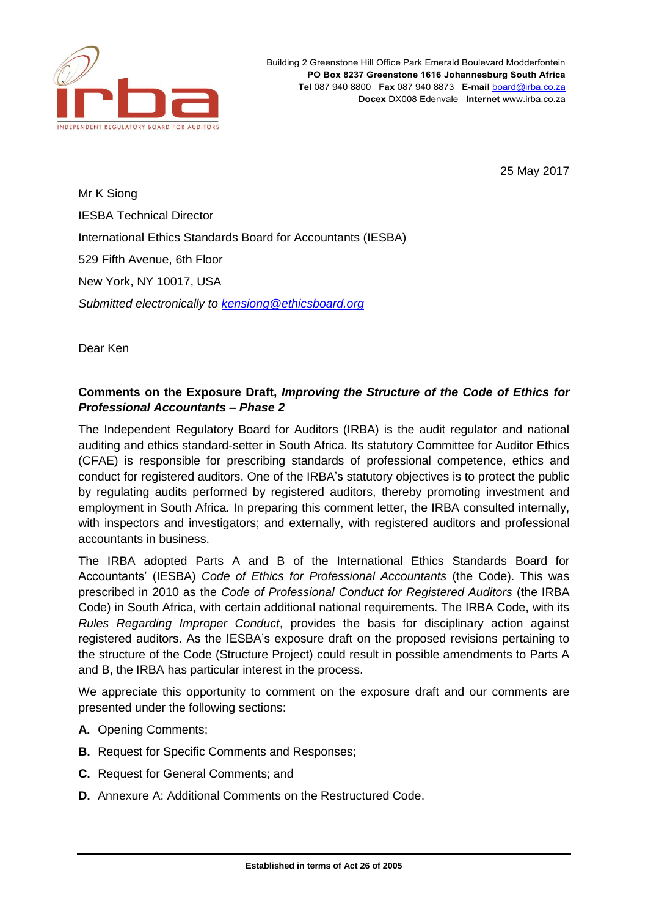

25 May 2017

Mr K Siong IESBA Technical Director International Ethics Standards Board for Accountants (IESBA) 529 Fifth Avenue, 6th Floor New York, NY 10017, USA *Submitted electronically to [kensiong@ethicsboard.org](mailto:kensiong@ethicsboard.org)*

Dear Ken

# **Comments on the Exposure Draft,** *Improving the Structure of the Code of Ethics for Professional Accountants – Phase 2*

The Independent Regulatory Board for Auditors (IRBA) is the audit regulator and national auditing and ethics standard-setter in South Africa. Its statutory Committee for Auditor Ethics (CFAE) is responsible for prescribing standards of professional competence, ethics and conduct for registered auditors. One of the IRBA's statutory objectives is to protect the public by regulating audits performed by registered auditors, thereby promoting investment and employment in South Africa. In preparing this comment letter, the IRBA consulted internally, with inspectors and investigators; and externally, with registered auditors and professional accountants in business.

The IRBA adopted Parts A and B of the International Ethics Standards Board for Accountants' (IESBA) *Code of Ethics for Professional Accountants* (the Code). This was prescribed in 2010 as the *Code of Professional Conduct for Registered Auditors* (the IRBA Code) in South Africa, with certain additional national requirements. The IRBA Code, with its *Rules Regarding Improper Conduct*, provides the basis for disciplinary action against registered auditors. As the IESBA's exposure draft on the proposed revisions pertaining to the structure of the Code (Structure Project) could result in possible amendments to Parts A and B, the IRBA has particular interest in the process.

We appreciate this opportunity to comment on the exposure draft and our comments are presented under the following sections:

- **A.** Opening Comments;
- **B.** Request for Specific Comments and Responses;
- **C.** Request for General Comments; and
- **D.** Annexure A: Additional Comments on the Restructured Code.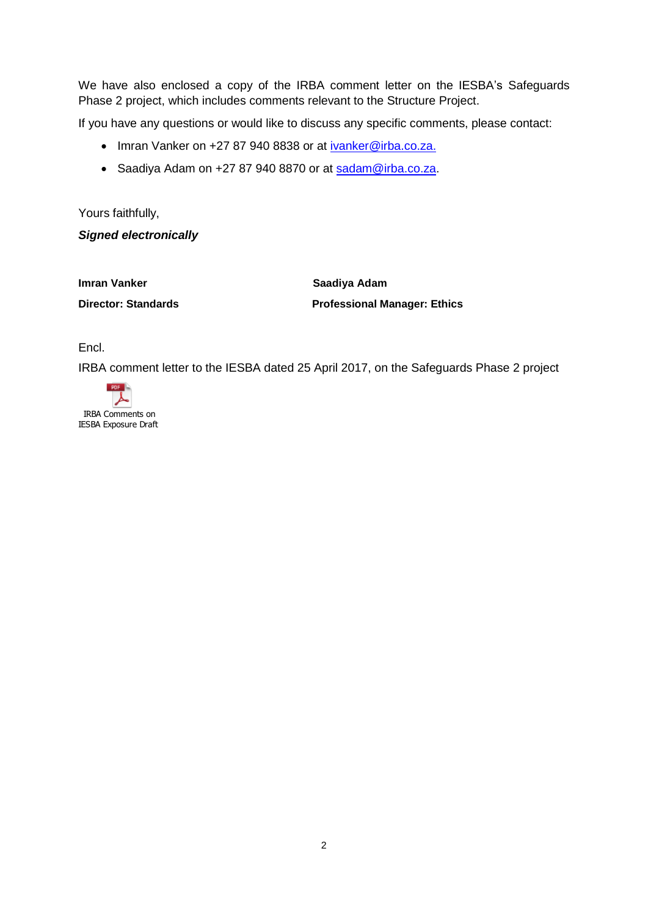We have also enclosed a copy of the IRBA comment letter on the IESBA's Safeguards Phase 2 project, which includes comments relevant to the Structure Project.

If you have any questions or would like to discuss any specific comments, please contact:

- Imran Vanker on +27 87 940 8838 or at [ivanker@irba.co.za.](mailto:ivanker@irba.co.za)
- Saadiya Adam on +27 87 940 8870 or at [sadam@irba.co.za.](mailto:sadam@irba.co.za)

Yours faithfully,

*Signed electronically*

**Imran Vanker Saadiya Adam**

**Director: Standards Professional Manager: Ethics**

Encl.

IRBA comment letter to the IESBA dated 25 April 2017, on the Safeguards Phase 2 project

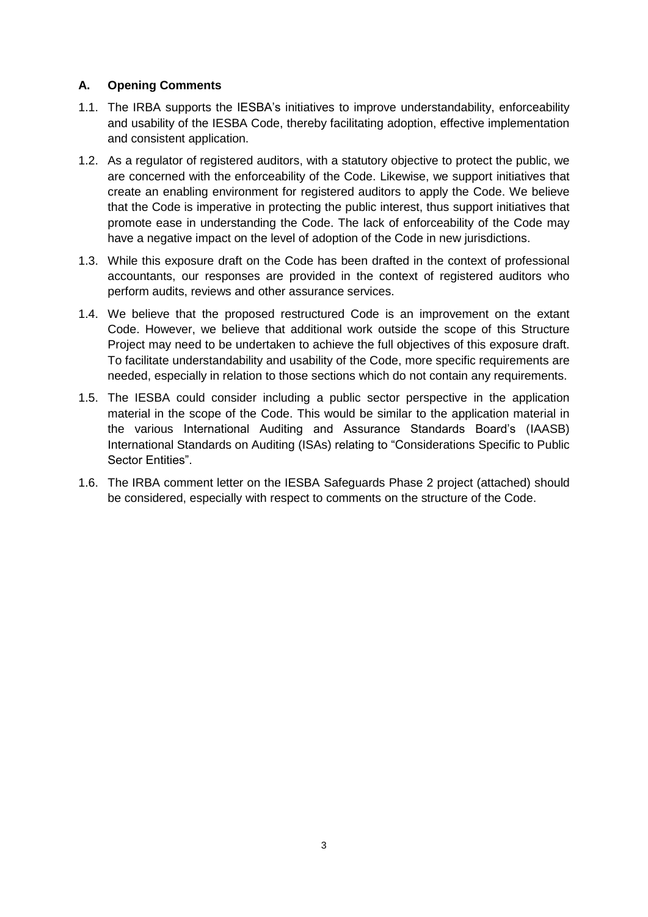## **A. Opening Comments**

- 1.1. The IRBA supports the IESBA's initiatives to improve understandability, enforceability and usability of the IESBA Code, thereby facilitating adoption, effective implementation and consistent application.
- 1.2. As a regulator of registered auditors, with a statutory objective to protect the public, we are concerned with the enforceability of the Code. Likewise, we support initiatives that create an enabling environment for registered auditors to apply the Code. We believe that the Code is imperative in protecting the public interest, thus support initiatives that promote ease in understanding the Code. The lack of enforceability of the Code may have a negative impact on the level of adoption of the Code in new jurisdictions.
- 1.3. While this exposure draft on the Code has been drafted in the context of professional accountants, our responses are provided in the context of registered auditors who perform audits, reviews and other assurance services.
- 1.4. We believe that the proposed restructured Code is an improvement on the extant Code. However, we believe that additional work outside the scope of this Structure Project may need to be undertaken to achieve the full objectives of this exposure draft. To facilitate understandability and usability of the Code, more specific requirements are needed, especially in relation to those sections which do not contain any requirements.
- 1.5. The IESBA could consider including a public sector perspective in the application material in the scope of the Code. This would be similar to the application material in the various International Auditing and Assurance Standards Board's (IAASB) International Standards on Auditing (ISAs) relating to "Considerations Specific to Public Sector Entities".
- 1.6. The IRBA comment letter on the IESBA Safeguards Phase 2 project (attached) should be considered, especially with respect to comments on the structure of the Code.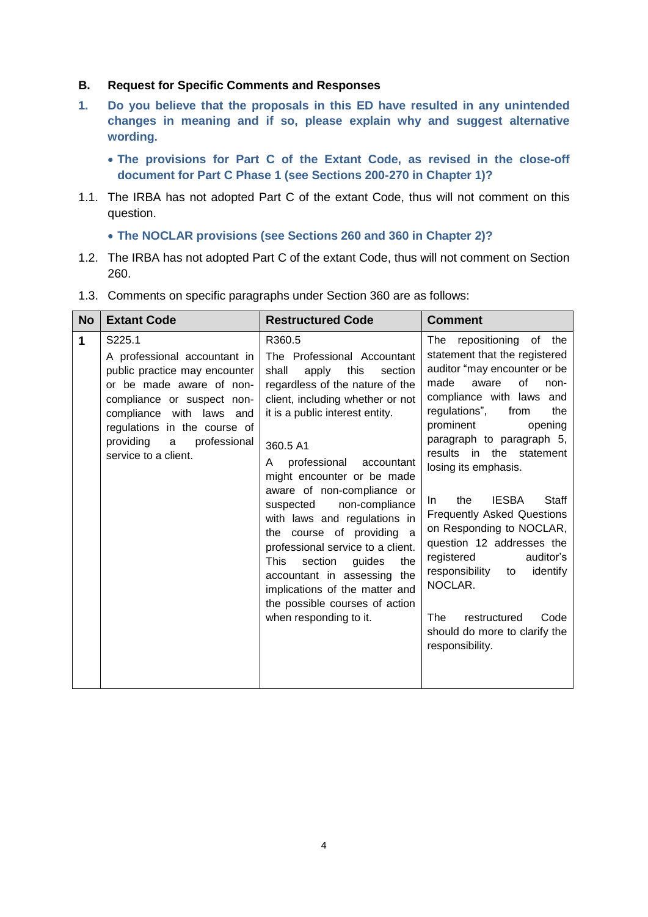#### **B. Request for Specific Comments and Responses**

- **1. Do you believe that the proposals in this ED have resulted in any unintended changes in meaning and if so, please explain why and suggest alternative wording.** 
	- **The provisions for Part C of the Extant Code, as revised in the close-off document for Part C Phase 1 (see Sections 200-270 in Chapter 1)?**
- 1.1. The IRBA has not adopted Part C of the extant Code, thus will not comment on this question.
	- **The NOCLAR provisions (see Sections 260 and 360 in Chapter 2)?**
- 1.2. The IRBA has not adopted Part C of the extant Code, thus will not comment on Section 260.

| <b>No</b>   | <b>Extant Code</b>                                                                                                                                                                                                                                         | <b>Restructured Code</b>                                                                                                                                                                                                                                                                                                                                                                                                                                                                                                                                                                          | <b>Comment</b>                                                                                                                                                                                                                                                                                                                                                                                                                                                                                                                                                                                               |
|-------------|------------------------------------------------------------------------------------------------------------------------------------------------------------------------------------------------------------------------------------------------------------|---------------------------------------------------------------------------------------------------------------------------------------------------------------------------------------------------------------------------------------------------------------------------------------------------------------------------------------------------------------------------------------------------------------------------------------------------------------------------------------------------------------------------------------------------------------------------------------------------|--------------------------------------------------------------------------------------------------------------------------------------------------------------------------------------------------------------------------------------------------------------------------------------------------------------------------------------------------------------------------------------------------------------------------------------------------------------------------------------------------------------------------------------------------------------------------------------------------------------|
| $\mathbf 1$ | S225.1<br>A professional accountant in<br>public practice may encounter<br>or be made aware of non-<br>compliance or suspect non-<br>compliance with laws<br>and<br>regulations in the course of<br>providing<br>professional<br>a<br>service to a client. | R360.5<br>The Professional Accountant<br>shall<br>apply<br>this<br>section<br>regardless of the nature of the<br>client, including whether or not<br>it is a public interest entity.<br>360.5 A1<br>professional<br>accountant<br>A<br>might encounter or be made<br>aware of non-compliance or<br>suspected<br>non-compliance<br>with laws and regulations in<br>the course of providing a<br>professional service to a client.<br>section<br>This<br>guides<br>the<br>accountant in assessing the<br>implications of the matter and<br>the possible courses of action<br>when responding to it. | repositioning of the<br>The<br>statement that the registered<br>auditor "may encounter or be<br>οf<br>made<br>aware<br>non-<br>compliance with laws and<br>regulations",<br>from<br>the<br>prominent<br>opening<br>paragraph to paragraph 5,<br>results<br>in the statement<br>losing its emphasis.<br><b>IESBA</b><br>Staff<br>the<br>In.<br><b>Frequently Asked Questions</b><br>on Responding to NOCLAR,<br>question 12 addresses the<br>auditor's<br>registered<br>responsibility<br>identify<br>to<br>NOCLAR.<br><b>The</b><br>restructured<br>Code<br>should do more to clarify the<br>responsibility. |
|             |                                                                                                                                                                                                                                                            |                                                                                                                                                                                                                                                                                                                                                                                                                                                                                                                                                                                                   |                                                                                                                                                                                                                                                                                                                                                                                                                                                                                                                                                                                                              |

1.3. Comments on specific paragraphs under Section 360 are as follows: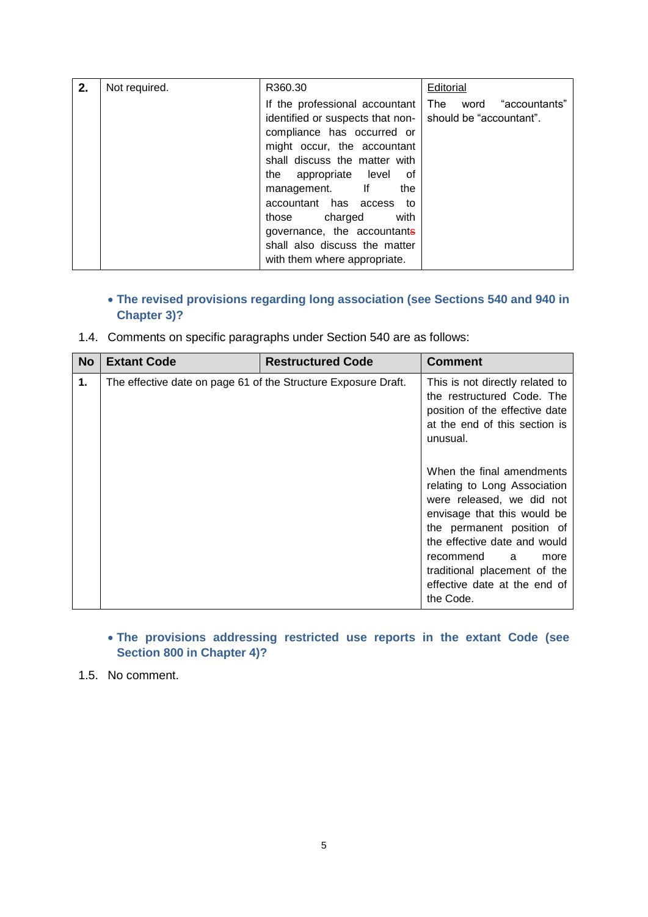| 2. | Not required. | R360.30                          | Editorial                 |
|----|---------------|----------------------------------|---------------------------|
|    |               | If the professional accountant   | The<br>word "accountants" |
|    |               | identified or suspects that non- | should be "accountant".   |
|    |               | compliance has occurred or       |                           |
|    |               | might occur, the accountant      |                           |
|    |               | shall discuss the matter with    |                           |
|    |               | the appropriate level<br>. of    |                           |
|    |               | management. If<br>the            |                           |
|    |               | accountant has access to         |                           |
|    |               | those charged<br>with            |                           |
|    |               | governance, the accountants      |                           |
|    |               | shall also discuss the matter    |                           |
|    |               | with them where appropriate.     |                           |

# **The revised provisions regarding long association (see Sections 540 and 940 in Chapter 3)?**

1.4. Comments on specific paragraphs under Section 540 are as follows:

| <b>No</b> | <b>Extant Code</b>                                             | <b>Restructured Code</b> | <b>Comment</b>                                                                                                                                                                                                                                                                              |
|-----------|----------------------------------------------------------------|--------------------------|---------------------------------------------------------------------------------------------------------------------------------------------------------------------------------------------------------------------------------------------------------------------------------------------|
| 1.        | The effective date on page 61 of the Structure Exposure Draft. |                          | This is not directly related to<br>the restructured Code. The<br>position of the effective date<br>at the end of this section is<br>unusual.                                                                                                                                                |
|           |                                                                |                          | When the final amendments<br>relating to Long Association<br>were released, we did not<br>envisage that this would be<br>the permanent position of<br>the effective date and would<br>recommend<br>a a<br>more<br>traditional placement of the<br>effective date at the end of<br>the Code. |

# **The provisions addressing restricted use reports in the extant Code (see Section 800 in Chapter 4)?**

1.5. No comment.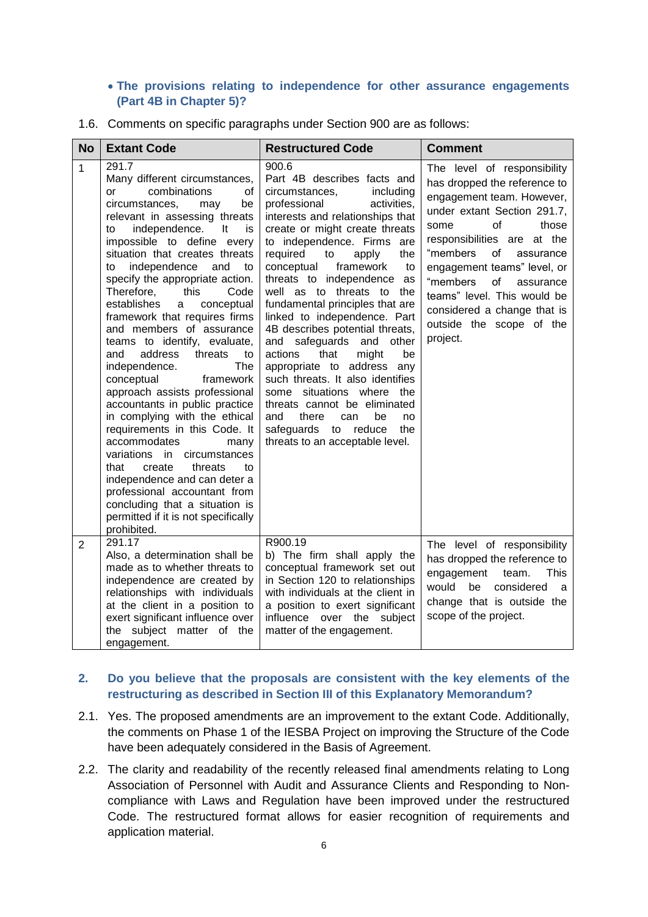#### **The provisions relating to independence for other assurance engagements (Part 4B in Chapter 5)?**

1.6. Comments on specific paragraphs under Section 900 are as follows:

| <b>No</b>      | <b>Extant Code</b>                                                                                                                                                                                                                                                                                                                                                                                                                                                                                                                                                                                                                                                                                                                                                                                                                                                                                                                                 | <b>Restructured Code</b>                                                                                                                                                                                                                                                                                                                                                                                                                                                                                                                                                                                                                                                                                                                              | <b>Comment</b>                                                                                                                                                                                                                                                                                                                                                                   |
|----------------|----------------------------------------------------------------------------------------------------------------------------------------------------------------------------------------------------------------------------------------------------------------------------------------------------------------------------------------------------------------------------------------------------------------------------------------------------------------------------------------------------------------------------------------------------------------------------------------------------------------------------------------------------------------------------------------------------------------------------------------------------------------------------------------------------------------------------------------------------------------------------------------------------------------------------------------------------|-------------------------------------------------------------------------------------------------------------------------------------------------------------------------------------------------------------------------------------------------------------------------------------------------------------------------------------------------------------------------------------------------------------------------------------------------------------------------------------------------------------------------------------------------------------------------------------------------------------------------------------------------------------------------------------------------------------------------------------------------------|----------------------------------------------------------------------------------------------------------------------------------------------------------------------------------------------------------------------------------------------------------------------------------------------------------------------------------------------------------------------------------|
| $\mathbf{1}$   | 291.7<br>Many different circumstances,<br>combinations<br>of<br>or<br>circumstances,<br>be<br>may<br>relevant in assessing threats<br>independence.<br>It<br>is<br>to<br>impossible to define every<br>situation that creates threats<br>independence and<br>to<br>to<br>specify the appropriate action.<br>Therefore,<br>this<br>Code<br>establishes<br>conceptual<br>a<br>framework that requires firms<br>and members of assurance<br>teams to identify, evaluate,<br>address<br>threats<br>and<br>to<br>The<br>independence.<br>framework<br>conceptual<br>approach assists professional<br>accountants in public practice<br>in complying with the ethical<br>requirements in this Code. It<br>accommodates<br>many<br>variations in circumstances<br>that<br>create<br>threats<br>to<br>independence and can deter a<br>professional accountant from<br>concluding that a situation is<br>permitted if it is not specifically<br>prohibited. | 900.6<br>Part 4B describes facts and<br>circumstances,<br>including<br>activities.<br>professional<br>interests and relationships that<br>create or might create threats<br>to independence. Firms are<br>required<br>the<br>to<br>apply<br>conceptual<br>framework<br>to<br>threats to independence as<br>well as to threats to<br>the<br>fundamental principles that are<br>linked to independence. Part<br>4B describes potential threats,<br>and safeguards and other<br>that<br>might<br>actions<br>be<br>appropriate to address any<br>such threats. It also identifies<br>some situations where the<br>threats cannot be eliminated<br>and<br>there<br>can<br>be<br>no<br>the<br>safeguards<br>reduce<br>to<br>threats to an acceptable level. | The level of responsibility<br>has dropped the reference to<br>engagement team. However,<br>under extant Section 291.7,<br>of<br>those<br>some<br>responsibilities are at the<br>of<br>"members<br>assurance<br>engagement teams" level, or<br>"members<br>of<br>assurance<br>teams" level. This would be<br>considered a change that is<br>outside the scope of the<br>project. |
| $\overline{2}$ | 291.17<br>Also, a determination shall be<br>made as to whether threats to<br>independence are created by<br>relationships with individuals<br>at the client in a position to<br>exert significant influence over<br>the subject matter of the<br>engagement.                                                                                                                                                                                                                                                                                                                                                                                                                                                                                                                                                                                                                                                                                       | R900.19<br>b) The firm shall apply the<br>conceptual framework set out<br>in Section 120 to relationships<br>with individuals at the client in<br>a position to exert significant<br>influence over the subject<br>matter of the engagement.                                                                                                                                                                                                                                                                                                                                                                                                                                                                                                          | The level of responsibility<br>has dropped the reference to<br>engagement<br><b>This</b><br>team.<br>would<br>considered<br>be<br>a<br>change that is outside the<br>scope of the project.                                                                                                                                                                                       |

## **2. Do you believe that the proposals are consistent with the key elements of the restructuring as described in Section III of this Explanatory Memorandum?**

- 2.1. Yes. The proposed amendments are an improvement to the extant Code. Additionally, the comments on Phase 1 of the IESBA Project on improving the Structure of the Code have been adequately considered in the Basis of Agreement.
- 2.2. The clarity and readability of the recently released final amendments relating to Long Association of Personnel with Audit and Assurance Clients and Responding to Noncompliance with Laws and Regulation have been improved under the restructured Code. The restructured format allows for easier recognition of requirements and application material.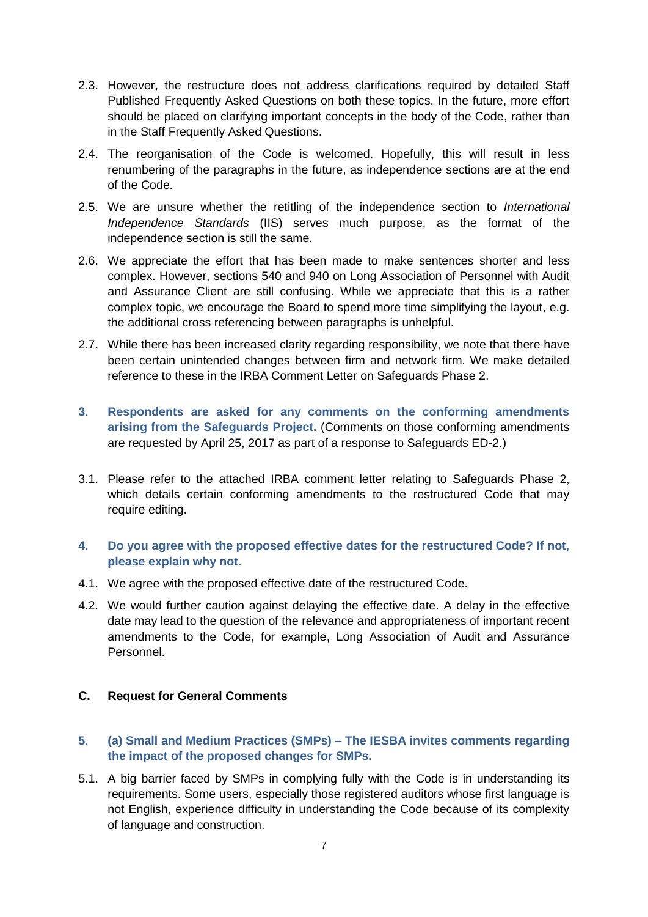- 2.3. However, the restructure does not address clarifications required by detailed Staff Published Frequently Asked Questions on both these topics. In the future, more effort should be placed on clarifying important concepts in the body of the Code, rather than in the Staff Frequently Asked Questions.
- 2.4. The reorganisation of the Code is welcomed. Hopefully, this will result in less renumbering of the paragraphs in the future, as independence sections are at the end of the Code.
- 2.5. We are unsure whether the retitling of the independence section to *International Independence Standards* (IIS) serves much purpose, as the format of the independence section is still the same.
- 2.6. We appreciate the effort that has been made to make sentences shorter and less complex. However, sections 540 and 940 on Long Association of Personnel with Audit and Assurance Client are still confusing. While we appreciate that this is a rather complex topic, we encourage the Board to spend more time simplifying the layout, e.g. the additional cross referencing between paragraphs is unhelpful.
- 2.7. While there has been increased clarity regarding responsibility, we note that there have been certain unintended changes between firm and network firm. We make detailed reference to these in the IRBA Comment Letter on Safeguards Phase 2.
- **3. Respondents are asked for any comments on the conforming amendments arising from the Safeguards Project.** (Comments on those conforming amendments are requested by April 25, 2017 as part of a response to Safeguards ED-2.)
- 3.1. Please refer to the attached IRBA comment letter relating to Safeguards Phase 2, which details certain conforming amendments to the restructured Code that may require editing.
- **4. Do you agree with the proposed effective dates for the restructured Code? If not, please explain why not.**
- 4.1. We agree with the proposed effective date of the restructured Code.
- 4.2. We would further caution against delaying the effective date. A delay in the effective date may lead to the question of the relevance and appropriateness of important recent amendments to the Code, for example, Long Association of Audit and Assurance Personnel.

## **C. Request for General Comments**

- **5. (a) Small and Medium Practices (SMPs) – The IESBA invites comments regarding the impact of the proposed changes for SMPs.**
- 5.1. A big barrier faced by SMPs in complying fully with the Code is in understanding its requirements. Some users, especially those registered auditors whose first language is not English, experience difficulty in understanding the Code because of its complexity of language and construction.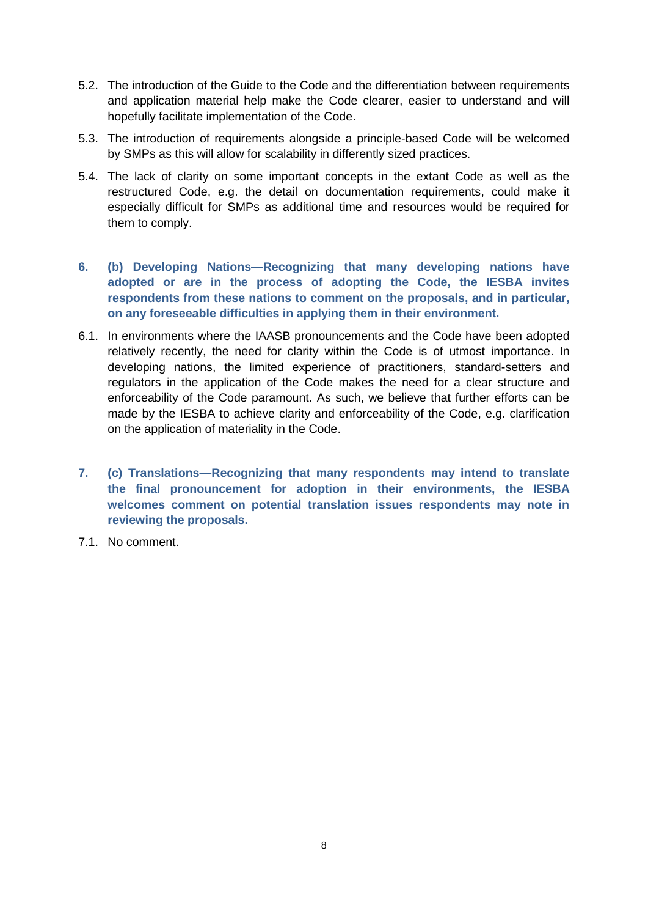- 5.2. The introduction of the Guide to the Code and the differentiation between requirements and application material help make the Code clearer, easier to understand and will hopefully facilitate implementation of the Code.
- 5.3. The introduction of requirements alongside a principle-based Code will be welcomed by SMPs as this will allow for scalability in differently sized practices.
- 5.4. The lack of clarity on some important concepts in the extant Code as well as the restructured Code, e.g. the detail on documentation requirements, could make it especially difficult for SMPs as additional time and resources would be required for them to comply.
- **6. (b) Developing Nations—Recognizing that many developing nations have adopted or are in the process of adopting the Code, the IESBA invites respondents from these nations to comment on the proposals, and in particular, on any foreseeable difficulties in applying them in their environment.**
- 6.1. In environments where the IAASB pronouncements and the Code have been adopted relatively recently, the need for clarity within the Code is of utmost importance. In developing nations, the limited experience of practitioners, standard-setters and regulators in the application of the Code makes the need for a clear structure and enforceability of the Code paramount. As such, we believe that further efforts can be made by the IESBA to achieve clarity and enforceability of the Code, e.g. clarification on the application of materiality in the Code.
- **7. (c) Translations—Recognizing that many respondents may intend to translate the final pronouncement for adoption in their environments, the IESBA welcomes comment on potential translation issues respondents may note in reviewing the proposals.**
- 7.1. No comment.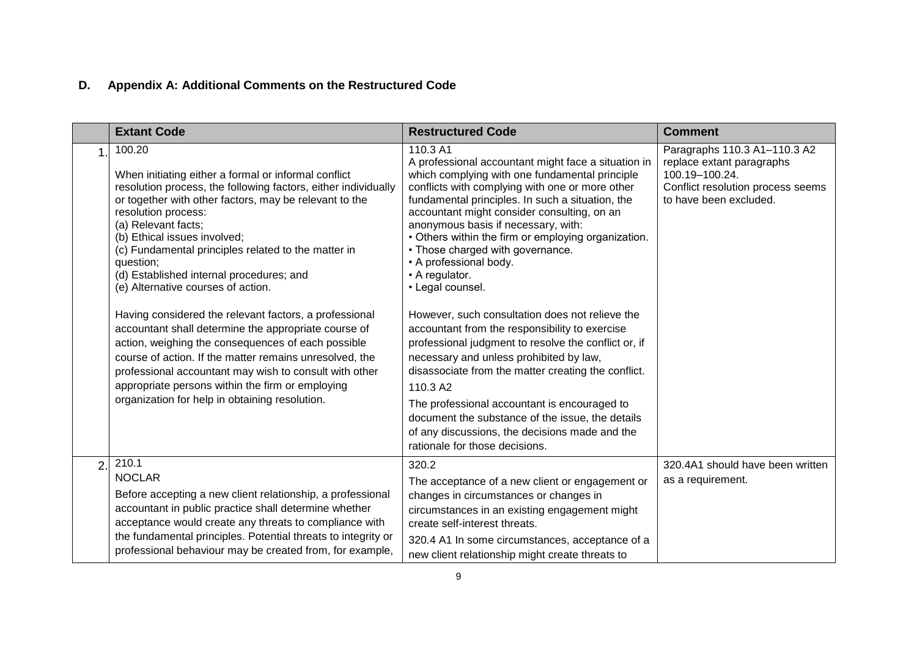# **D. Appendix A: Additional Comments on the Restructured Code**

|                | <b>Extant Code</b>                                                                                                                                                                                                                                                                                                                                                                                                                                                                                                                                                                                                                                                                                                                                                                                                                | <b>Restructured Code</b>                                                                                                                                                                                                                                                                                                                                                                                                                                                                                                                                                                                                                                                                                                                                                                                                                                                                                                                     | <b>Comment</b>                                                                                                                             |
|----------------|-----------------------------------------------------------------------------------------------------------------------------------------------------------------------------------------------------------------------------------------------------------------------------------------------------------------------------------------------------------------------------------------------------------------------------------------------------------------------------------------------------------------------------------------------------------------------------------------------------------------------------------------------------------------------------------------------------------------------------------------------------------------------------------------------------------------------------------|----------------------------------------------------------------------------------------------------------------------------------------------------------------------------------------------------------------------------------------------------------------------------------------------------------------------------------------------------------------------------------------------------------------------------------------------------------------------------------------------------------------------------------------------------------------------------------------------------------------------------------------------------------------------------------------------------------------------------------------------------------------------------------------------------------------------------------------------------------------------------------------------------------------------------------------------|--------------------------------------------------------------------------------------------------------------------------------------------|
|                | 100.20<br>When initiating either a formal or informal conflict<br>resolution process, the following factors, either individually<br>or together with other factors, may be relevant to the<br>resolution process:<br>(a) Relevant facts;<br>(b) Ethical issues involved;<br>(c) Fundamental principles related to the matter in<br>question;<br>(d) Established internal procedures; and<br>(e) Alternative courses of action.<br>Having considered the relevant factors, a professional<br>accountant shall determine the appropriate course of<br>action, weighing the consequences of each possible<br>course of action. If the matter remains unresolved, the<br>professional accountant may wish to consult with other<br>appropriate persons within the firm or employing<br>organization for help in obtaining resolution. | 110.3 A1<br>A professional accountant might face a situation in<br>which complying with one fundamental principle<br>conflicts with complying with one or more other<br>fundamental principles. In such a situation, the<br>accountant might consider consulting, on an<br>anonymous basis if necessary, with:<br>• Others within the firm or employing organization.<br>• Those charged with governance.<br>• A professional body.<br>• A regulator.<br>• Legal counsel.<br>However, such consultation does not relieve the<br>accountant from the responsibility to exercise<br>professional judgment to resolve the conflict or, if<br>necessary and unless prohibited by law,<br>disassociate from the matter creating the conflict.<br>110.3 A2<br>The professional accountant is encouraged to<br>document the substance of the issue, the details<br>of any discussions, the decisions made and the<br>rationale for those decisions. | Paragraphs 110.3 A1-110.3 A2<br>replace extant paragraphs<br>100.19-100.24.<br>Conflict resolution process seems<br>to have been excluded. |
| $\overline{2}$ | 210.1<br><b>NOCLAR</b><br>Before accepting a new client relationship, a professional<br>accountant in public practice shall determine whether<br>acceptance would create any threats to compliance with<br>the fundamental principles. Potential threats to integrity or<br>professional behaviour may be created from, for example,                                                                                                                                                                                                                                                                                                                                                                                                                                                                                              | 320.2<br>The acceptance of a new client or engagement or<br>changes in circumstances or changes in<br>circumstances in an existing engagement might<br>create self-interest threats.<br>320.4 A1 In some circumstances, acceptance of a<br>new client relationship might create threats to                                                                                                                                                                                                                                                                                                                                                                                                                                                                                                                                                                                                                                                   | 320.4A1 should have been written<br>as a requirement.                                                                                      |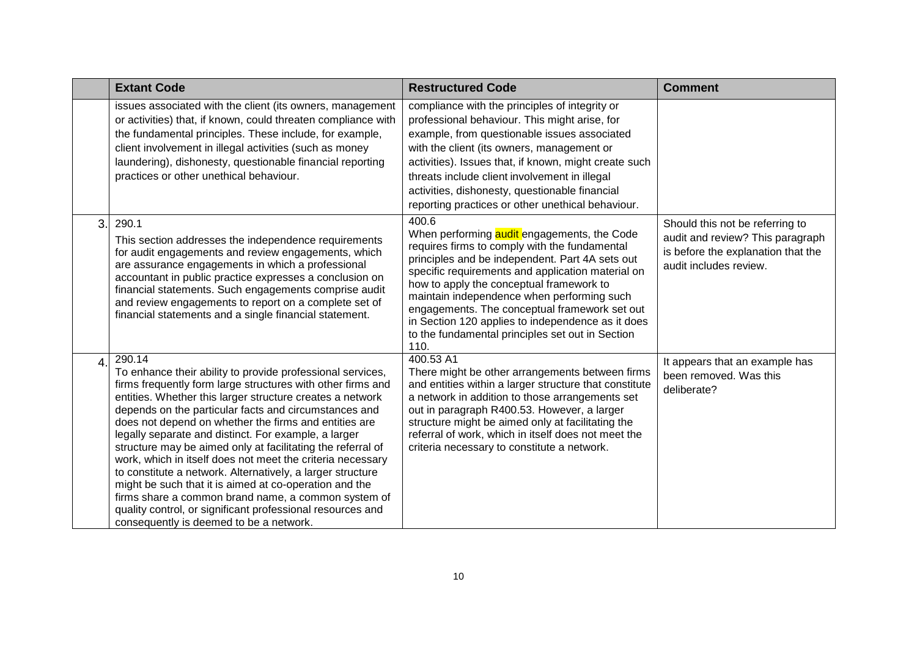|    | <b>Extant Code</b>                                                                                                                                                                                                                                                                                                                                                                                                                                                                                                                                                                                                                                                                                                                                                                              | <b>Restructured Code</b>                                                                                                                                                                                                                                                                                                                                                                                                                                                  | <b>Comment</b>                                                                                                                      |
|----|-------------------------------------------------------------------------------------------------------------------------------------------------------------------------------------------------------------------------------------------------------------------------------------------------------------------------------------------------------------------------------------------------------------------------------------------------------------------------------------------------------------------------------------------------------------------------------------------------------------------------------------------------------------------------------------------------------------------------------------------------------------------------------------------------|---------------------------------------------------------------------------------------------------------------------------------------------------------------------------------------------------------------------------------------------------------------------------------------------------------------------------------------------------------------------------------------------------------------------------------------------------------------------------|-------------------------------------------------------------------------------------------------------------------------------------|
|    | issues associated with the client (its owners, management<br>or activities) that, if known, could threaten compliance with<br>the fundamental principles. These include, for example,<br>client involvement in illegal activities (such as money<br>laundering), dishonesty, questionable financial reporting<br>practices or other unethical behaviour.                                                                                                                                                                                                                                                                                                                                                                                                                                        | compliance with the principles of integrity or<br>professional behaviour. This might arise, for<br>example, from questionable issues associated<br>with the client (its owners, management or<br>activities). Issues that, if known, might create such<br>threats include client involvement in illegal<br>activities, dishonesty, questionable financial<br>reporting practices or other unethical behaviour.                                                            |                                                                                                                                     |
| 3. | 290.1<br>This section addresses the independence requirements<br>for audit engagements and review engagements, which<br>are assurance engagements in which a professional<br>accountant in public practice expresses a conclusion on<br>financial statements. Such engagements comprise audit<br>and review engagements to report on a complete set of<br>financial statements and a single financial statement.                                                                                                                                                                                                                                                                                                                                                                                | 400.6<br>When performing audit engagements, the Code<br>requires firms to comply with the fundamental<br>principles and be independent. Part 4A sets out<br>specific requirements and application material on<br>how to apply the conceptual framework to<br>maintain independence when performing such<br>engagements. The conceptual framework set out<br>in Section 120 applies to independence as it does<br>to the fundamental principles set out in Section<br>110. | Should this not be referring to<br>audit and review? This paragraph<br>is before the explanation that the<br>audit includes review. |
|    | 290.14<br>To enhance their ability to provide professional services,<br>firms frequently form large structures with other firms and<br>entities. Whether this larger structure creates a network<br>depends on the particular facts and circumstances and<br>does not depend on whether the firms and entities are<br>legally separate and distinct. For example, a larger<br>structure may be aimed only at facilitating the referral of<br>work, which in itself does not meet the criteria necessary<br>to constitute a network. Alternatively, a larger structure<br>might be such that it is aimed at co-operation and the<br>firms share a common brand name, a common system of<br>quality control, or significant professional resources and<br>consequently is deemed to be a network. | 400.53 A1<br>There might be other arrangements between firms<br>and entities within a larger structure that constitute<br>a network in addition to those arrangements set<br>out in paragraph R400.53. However, a larger<br>structure might be aimed only at facilitating the<br>referral of work, which in itself does not meet the<br>criteria necessary to constitute a network.                                                                                       | It appears that an example has<br>been removed. Was this<br>deliberate?                                                             |